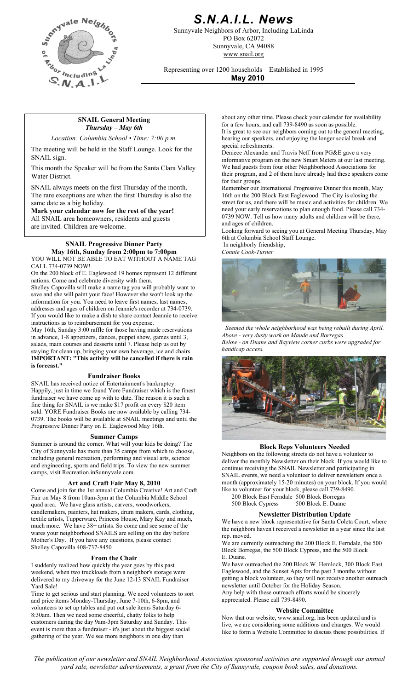

# *S.N.A.I.L. News*

Sunnyvale Neighbors of Arbor, Including LaLinda PO Box 62072 Sunnyvale, CA 94088 www.snail.org

Representing over 1200 households Established in 1995

**May 2010**

#### **SNAIL General Meeting**  *Thursday – May 6th*

*Location: Columbia School • Time: 7:00 p.m.*

The meeting will be held in the Staff Lounge. Look for the SNAIL sign.

This month the Speaker will be from the Santa Clara Valley Water District.

SNAIL always meets on the first Thursday of the month. The rare exceptions are when the first Thursday is also the same date as a big holiday.

**Mark your calendar now for the rest of the year!** All SNAIL area homeowners, residents and guests are invited. Children are welcome.

# **SNAIL Progressive Dinner Party May 16th, Sunday from 2:00pm to 7:00pm**

YOU WILL NOT BE ABLE TO EAT WITHOUT A NAME TAG CALL 734-0739 NOW!

On the 200 block of E. Eaglewood 19 homes represent 12 different nations. Come and celebrate diversity with them.

Shelley Capovilla will make a name tag you will probably want to save and she will paint your face! However she won't look up the information for you. You need to leave first names, last names, addresses and ages of children on Jeannie's recorder at 734-0739. If you would like to make a dish to share contact Jeannie to receive instructions as to reimbursement for you expense. May 16th, Sunday 3:00 raffle for those having made reservations in advance, 1-8 appetizers, dances, puppet show, games until 3, salads, main courses and desserts until 7. Please help us out by staying for clean up, bringing your own beverage, ice and chairs.

**IMPORTANT: "This activity will be cancelled if there is rain is forecast."**

#### **Fundraiser Books**

SNAIL has received notice of Entertainment's bankruptcy. Happily, just in time we found Yore Fundraiser which is the finest fundraiser we have come up with to date. The reason it is such a fine thing for SNAIL is we make \$17 profit on every \$20 item sold. YORE Fundraiser Books are now available by calling 734- 0739. The books will be available at SNAIL meetings and until the Progressive Dinner Party on E. Eaglewood May 16th.

#### **Summer Camps**

Summer is around the corner. What will your kids be doing? The City of Sunnyvale has more than 35 camps from which to choose, including general recreation, performing and visual arts, science and engineering, sports and field trips. To view the new summer camps, visit Recreation.inSunnyvale.com.

### **Art and Craft Fair May 8, 2010**

Come and join for the 1st annual Columbia Creative! Art and Craft Fair on May 8 from 10am-3pm at the Columbia Middle School quad area. We have glass artists, carvers, woodworkers, candlemakers, painters, hat makers, drum makers, cards, clothing, textile artists, Tupperware, Princess House, Mary Kay and much, much more. We have 38+ artists. So come and see some of the wares your neighborhood SNAILS are selling on the day before Mother's Day. If you have any questions, please contact Shelley Capovilla 408-737-8450

#### **From the Chair**

I suddenly realized how quickly the year goes by this past weekend, when two truckloads from a neighbor's storage were delivered to my driveway for the June 12-13 SNAIL Fundraiser Yard Sale!

Time to get serious and start planning. We need volunteers to sort and price items Monday-Thursday, June 7-10th, 6-8pm, and volunteers to set up tables and put out sale items Saturday 6- 8:30am. Then we need some cheerful, chatty folks to help customers during the day 9am-3pm Saturday and Sunday. This event is more than a fundraiser - it's just about the biggest social gathering of the year. We see more neighbors in one day than

about any other time. Please check your calendar for availability for a few hours, and call 739-8490 as soon as possible. It is great to see our neighbors coming out to the general meeting, hearing our speakers, and enjoying the longer social break and special refreshments.

Deniece Alexander and Travis Neff from PG&E gave a very informative program on the new Smart Meters at our last meeting. We had guests from four other Neighborhood Associations for their program, and 2 of them have already had these speakers come for their groups.

Remember our International Progressive Dinner this month, May 16th on the 200 Block East Eaglewood. The City is closing the street for us, and there will be music and activities for children. We need your early reservations to plan enough food. Please call 734- 0739 NOW. Tell us how many adults and children will be there, and ages of children.

Looking forward to seeing you at General Meeting Thursday, May 6th at Columbia School Staff Lounge.

 In neighborly friendship, *Connie Cook-Turner*



*Seemed the whole neighborhood was being rebuilt during April. Above - very dusty work on Maude and Borregas. Below - on Duane and Bayview corner curbs were upgraded for handicap access.* 



#### **Block Reps Volunteers Needed**

Neighbors on the following streets do not have a volunteer to deliver the monthly Newsletter on their block. If you would like to continue receiving the SNAIL Newsletter and participating in SNAIL events, we need a volunteer to deliver newsletters once a month (approximately 15-20 minutes) on your block. If you would like to volunteer for your block, please call 739-8490.

200 Block East Ferndale 500 Block Borregas

500 Block Cypress 500 Block E. Duane

#### **Newsletter Distribution Update**

We have a new block representative for Santa Coleta Court, where the neighbors haven't received a newsletter in a year since the last rep. moved.

We are currently outreaching the 200 Block E. Ferndale, the 500 Block Borregas, the 500 Block Cypress, and the 500 Block E. Duane.

We have outreached the 200 Block W. Hemlock, 300 Block East Eaglewood, and the Sunset Apts for the past 3 months without getting a block volunteer, so they will not receive another outreach newsletter until October for the Holiday Season. Any help with these outreach efforts would be sincerely appreciated. Please call 739-8490.

#### **Website Committee**

Now that our website, www.snail.org, has been updated and is live, we are considering some additions and changes. We would like to form a Website Committee to discuss these possibilities. If

*The publication of our newsletter and SNAIL Neighborhood Association sponsored activities are supported through our annual yard sale, newsletter advertisements, a grant from the City of Sunnyvale, coupon book sales, and donations.*